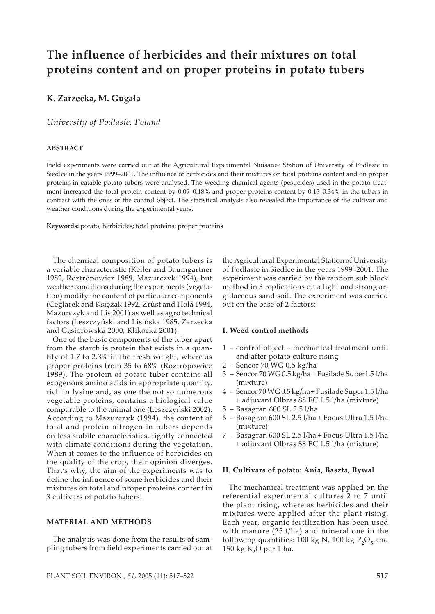# **The influence of herbicides and their mixtures on total proteins content and on proper proteins in potato tubers**

# **K. Zarzecka, M. Gugała**

## *University of Podlasie, Poland*

## **ABSTRACT**

Field experiments were carried out at the Agricultural Experimental Nuisance Station of University of Podlasie in Siedlce in the years 1999–2001. The influence of herbicides and their mixtures on total proteins content and on proper proteins in eatable potato tubers were analysed. The weeding chemical agents (pesticides) used in the potato treatment increased the total protein content by 0.09–0.18% and proper proteins content by 0.15–0.34% in the tubers in contrast with the ones of the control object. The statistical analysis also revealed the importance of the cultivar and weather conditions during the experimental years.

**Keywords:** potato; herbicides; total proteins; proper proteins

The chemical composition of potato tubers is a variable characteristic (Keller and Baumgartner 1982, Roztropowicz 1989, Mazurczyk 1994), but weather conditions during the experiments (vegetation) modify the content of particular components (Ceglarek and Księżak 1992, Zrůst and Holá 1994, Mazurczyk and Lis 2001) as well as agro technical factors (Leszczyński and Lisińska 1985, Zarzecka and Gąsiorowska 2000, Klikocka 2001).

One of the basic components of the tuber apart from the starch is protein that exists in a quantity of 1.7 to 2.3% in the fresh weight, where as proper proteins from 35 to 68% (Roztropowicz 1989). The protein of potato tuber contains all exogenous amino acids in appropriate quantity, rich in lysine and, as one the not so numerous vegetable proteins, contains a biological value comparable to the animal one (Leszczyński 2002). According to Mazurczyk (1994), the content of total and protein nitrogen in tubers depends on less stabile characteristics, tightly connected with climate conditions during the vegetation. When it comes to the influence of herbicides on the quality of the crop, their opinion diverges. That's why, the aim of the experiments was to define the influence of some herbicides and their mixtures on total and proper proteins content in 3 cultivars of potato tubers.

## **MATERIAL AND METHODS**

The analysis was done from the results of sampling tubers from field experiments carried out at

the Agricultural Experimental Station of University of Podlasie in Siedlce in the years 1999–2001. The experiment was carried by the random sub block method in 3 replications on a light and strong argillaceous sand soil. The experiment was carried out on the base of 2 factors:

#### **I. Weed control methods**

- 1 control object mechanical treatment until and after potato culture rising
- 2 Sencor 70 WG 0.5 kg/ha
- 3 Sencor 70 WG 0.5 kg/ha + Fusilade Super1.5 l/ha (mixture)
- 4 Sencor 70 WG 0.5 kg/ha + Fusilade Super 1.5 l/ha + adjuvant Olbras 88 EC 1.5 l/ha (mixture)
- 5 Basagran 600 SL 2.5 l/ha
- 6 Basagran 600 SL 2.5 l/ha + Focus Ultra 1.5 l/ha (mixture)
- 7 Basagran 600 SL 2.5 l/ha + Focus Ultra 1.5 l/ha + adjuvant Olbras 88 EC 1.5 l/ha (mixture)

#### **II. Cultivars of potato: Ania, Baszta, Rywal**

The mechanical treatment was applied on the referential experimental cultures 2 to 7 until the plant rising, where as herbicides and their mixtures were applied after the plant rising. Each year, organic fertilization has been used with manure (25 t/ha) and mineral one in the following quantities: 100 kg N, 100 kg  $P_2O_5$  and 150 kg  $K<sub>2</sub>O$  per 1 ha.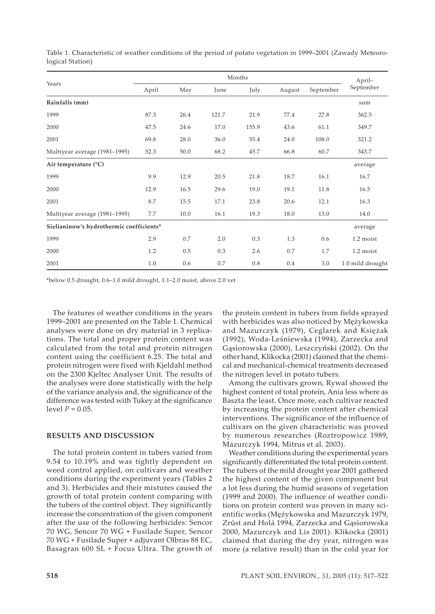|                                          |       | April- |       |       |        |           |                  |
|------------------------------------------|-------|--------|-------|-------|--------|-----------|------------------|
| Years                                    | April | May    | June  | July  | August | September | September        |
| Rainfalls (mm)                           |       |        |       |       |        |           | sum              |
| 1999                                     | 87.3  | 26.4   | 121.7 | 21.9  | 77.4   | 27.8      | 362.5            |
| 2000                                     | 47.5  | 24.6   | 17.0  | 155.9 | 43.6   | 61.1      | 349.7            |
| 2001                                     | 69.8  | 28.0   | 36.0  | 55.4  | 24.0   | 108.0     | 321.2            |
| Multiyear average (1981–1995)            | 52.3  | 50.0   | 68.2  | 45.7  | 66.8   | 60.7      | 343.7            |
| Air temperature $(^{\circ}C)$            |       |        |       |       |        |           | average          |
| 1999                                     | 9.9   | 12.9   | 20.5  | 21.8  | 18.7   | 16.1      | 16.7             |
| 2000                                     | 12.9  | 16.5   | 29.6  | 19.0  | 19.1   | 11.8      | 16.5             |
| 2001                                     | 8.7   | 15.5   | 17.1  | 23.8  | 20.6   | 12.1      | 16.3             |
| Multiyear average (1981–1995)            | 7.7   | 10.0   | 16.1  | 19.3  | 18.0   | 13.0      | 14.0             |
| Sielianinow's hydrothermic coefficients* |       |        |       |       |        |           | average          |
| 1999                                     | 2.9   | 0.7    | 2.0   | 0.3   | 1.3    | 0.6       | 1.2 moist        |
| 2000                                     | 1.2   | 0.5    | 0.3   | 2.6   | 0.7    | 1.7       | 1.2 moist        |
| 2001                                     | 1.0   | 0.6    | 0.7   | 0.8   | 0.4    | 3.0       | 1.0 mild drought |

Table 1. Characteristic of weather conditions of the period of potato vegetation in 1999–2001 (Zawady Meteorological Station)

\*below 0.5 drought, 0.6–1.0 mild drought, 1.1–2.0 moist, above 2.0 vet

The features of weather conditions in the years 1999–2001 are presented on the Table 1. Chemical analyses were done on dry material in 3 replications. The total and proper protein content was calculated from the total and protein nitrogen content using the coefficient 6.25. The total and protein nitrogen were fixed with Kjeldahl method on the 2300 Kjeltec Analyser Unit. The results of the analyses were done statistically with the help of the variance analysis and, the significance of the difference was tested with Tukey at the significance level *P* = 0.05.

## **RESULTS AND DISCUSSION**

The total protein content in tubers varied from 9.54 to 10.19% and was tightly dependent on weed control applied, on cultivars and weather conditions during the experiment years (Tables 2 and 3). Herbicides and their mixtures caused the growth of total protein content comparing with the tubers of the control object. They significantly increase the concentration of the given component after the use of the following herbicides: Sencor 70 WG, Sencor 70 WG + Fusilade Super, Sencor 70 WG + Fusilade Super + adjuvant Olbras 88 EC, Basagran 600 SL + Focus Ultra. The growth of

the protein content in tubers from fields sprayed with herbicides was also noticed by Mężykowska and Mazurczyk (1979), Ceglarek and Księżak (1992), Woda-Leśniewska (1994), Zarzecka and Gąsiorowska (2000), Leszczyński (2002). On the other hand, Klikocka (2001) claimed that the chemical and mechanical-chemical treatments decreased the nitrogen level in potato tubers.

Among the cultivars grown, Rywal showed the highest content of total protein, Ania less where as Baszta the least. Once more, each cultivar reacted by increasing the protein content after chemical interventions. The significance of the influence of cultivars on the given characteristic was proved by numerous researches (Roztropowicz 1989, Mazurczyk 1994, Mitrus et al. 2003).

Weather conditions during the experimental years significantly differentiated the total protein content. The tubers of the mild drought year 2001 gathered the highest content of the given component but a lot less during the humid seasons of vegetation (1999 and 2000). The influence of weather conditions on protein content was proven in many scientific works (Mężykowska and Mazurczyk 1979, Zrůst and Holá 1994, Zarzecka and Gąsiorowska 2000, Mazurczyk and Lis 2001). Klikocka (2001) claimed that during the dry year, nitrogen was more (a relative result) than in the cold year for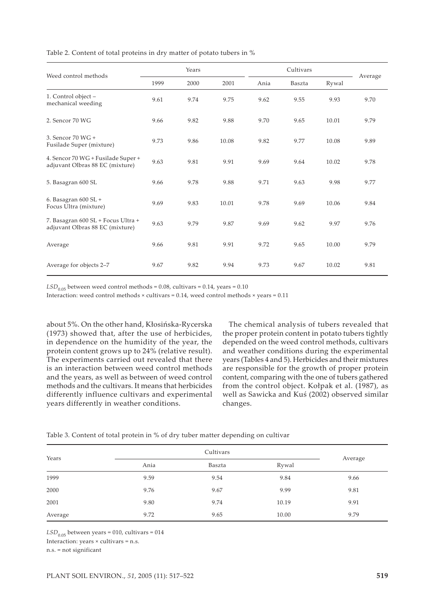|                                                                       | Years |      |       |      |        |       |         |
|-----------------------------------------------------------------------|-------|------|-------|------|--------|-------|---------|
| Weed control methods                                                  | 1999  | 2000 | 2001  | Ania | Baszta | Rywal | Average |
| 1. Control object -<br>mechanical weeding                             | 9.61  | 9.74 | 9.75  | 9.62 | 9.55   | 9.93  | 9.70    |
| 2. Sencor 70 WG                                                       | 9.66  | 9.82 | 9.88  | 9.70 | 9.65   | 10.01 | 9.79    |
| 3. Sencor 70 WG +<br>Fusilade Super (mixture)                         | 9.73  | 9.86 | 10.08 | 9.82 | 9.77   | 10.08 | 9.89    |
| 4. Sencor 70 WG + Fusilade Super +<br>adjuvant Olbras 88 EC (mixture) | 9.63  | 9.81 | 9.91  | 9.69 | 9.64   | 10.02 | 9.78    |
| 5. Basagran 600 SL                                                    | 9.66  | 9.78 | 9.88  | 9.71 | 9.63   | 9.98  | 9.77    |
| 6. Basagran $600$ SL +<br>Focus Ultra (mixture)                       | 9.69  | 9.83 | 10.01 | 9.78 | 9.69   | 10.06 | 9.84    |
| 7. Basagran 600 SL + Focus Ultra +<br>adjuvant Olbras 88 EC (mixture) | 9.63  | 9.79 | 9.87  | 9.69 | 9.62   | 9.97  | 9.76    |
| Average                                                               | 9.66  | 9.81 | 9.91  | 9.72 | 9.65   | 10.00 | 9.79    |
| Average for objects 2-7                                               | 9.67  | 9.82 | 9.94  | 9.73 | 9.67   | 10.02 | 9.81    |

Table 2. Content of total proteins in dry matter of potato tubers in %

 $LSD<sub>0.05</sub>$  between weed control methods = 0.08, cultivars = 0.14, years = 0.10

Interaction: weed control methods  $\times$  cultivars = 0.14, weed control methods  $\times$  years = 0.11

about 5%. On the other hand, Kłosińska-Rycerska (1973) showed that, after the use of herbicides, in dependence on the humidity of the year, the protein content grows up to 24% (relative result). The experiments carried out revealed that there is an interaction between weed control methods and the years, as well as between of weed control methods and the cultivars. It means that herbicides differently influence cultivars and experimental years differently in weather conditions.

The chemical analysis of tubers revealed that the proper protein content in potato tubers tightly depended on the weed control methods, cultivars and weather conditions during the experimental years (Tables 4 and 5). Herbicides and their mixtures are responsible for the growth of proper protein content, comparing with the one of tubers gathered from the control object. Kołpak et al. (1987), as well as Sawicka and Kuś (2002) observed similar changes.

|  |  |  |  | Table 3. Content of total protein in % of dry tuber matter depending on cultivar |  |
|--|--|--|--|----------------------------------------------------------------------------------|--|
|  |  |  |  |                                                                                  |  |

| Years   |      | Average |       |      |
|---------|------|---------|-------|------|
|         | Ania | Baszta  | Rywal |      |
| 1999    | 9.59 | 9.54    | 9.84  | 9.66 |
| 2000    | 9.76 | 9.67    | 9.99  | 9.81 |
| 2001    | 9.80 | 9.74    | 10.19 | 9.91 |
| Average | 9.72 | 9.65    | 10.00 | 9.79 |

 $LSD<sub>0.05</sub>$  between years = 010, cultivars = 014

Interaction: years × cultivars = n.s.

n.s. = not significant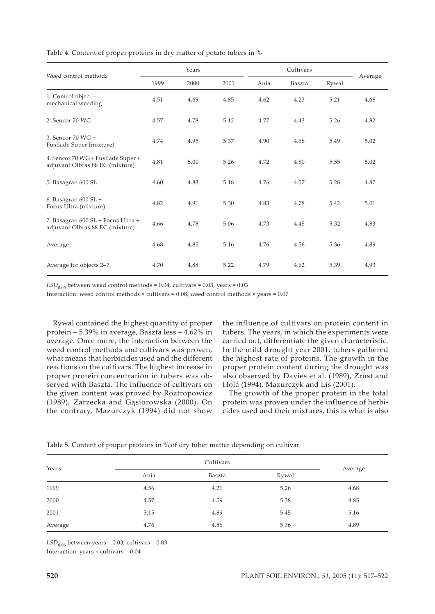|                                                                       | Years |      |      | Cultivars |        |       |         |
|-----------------------------------------------------------------------|-------|------|------|-----------|--------|-------|---------|
| Weed control methods                                                  | 1999  | 2000 | 2001 | Ania      | Baszta | Rywal | Average |
| 1. Control object -<br>mechanical weeding                             | 4.51  | 4.69 | 4.85 | 4.62      | 4.23   | 5.21  | 4.68    |
| 2. Sencor 70 WG                                                       | 4.57  | 4.78 | 5.12 | 4.77      | 4.43   | 5.26  | 4.82    |
| 3. Sencor 70 WG +<br>Fusilade Super (mixture)                         | 4.74  | 4.95 | 5.37 | 4.90      | 4.68   | 5.49  | 5.02    |
| 4. Sencor 70 WG + Fusilade Super +<br>adjuvant Olbras 88 EC (mixture) | 4.81  | 5.00 | 5.26 | 4.72      | 4.80   | 5.55  | 5.02    |
| 5. Basagran 600 SL                                                    | 4.60  | 4.83 | 5.18 | 4.76      | 4.57   | 5.28  | 4.87    |
| 6. Basagran $600$ SL +<br>Focus Ultra (mixture)                       | 4.82  | 4.91 | 5.30 | 4.83      | 4.78   | 5.42  | 5.01    |
| 7. Basagran 600 SL + Focus Ultra +<br>adjuvant Olbras 88 EC (mixture) | 4.66  | 4.78 | 5.06 | 4.73      | 4.45   | 5.32  | 4.83    |
| Average                                                               | 4.68  | 4.85 | 5.16 | 4.76      | 4.56   | 5.36  | 4.89    |
| Average for objects 2-7                                               | 4.70  | 4.88 | 5.22 | 4.79      | 4.62   | 5.39  | 4.93    |

Table 4. Content of proper proteins in dry matter of potato tubers in %

 $LSD<sub>0.05</sub>$  between weed control methods = 0.04, cultivars = 0.03, years = 0.03

Interaction: weed control methods × cultivars = 0.08, weed control methods × years = 0.07

Rywal contained the highest quantity of proper protein – 5.39% in average, Baszta less – 4.62% in average. Once more, the interaction between the weed control methods and cultivars was proven, what means that herbicides used and the different reactions on the cultivars. The highest increase in proper protein concentration in tubers was observed with Baszta. The influence of cultivars on the given content was proved by Roztropowicz (1989), Zarzecka and Gąsiorowska (2000). On the contrary, Mazurczyk (1994) did not show

the influence of cultivars on protein content in tubers. The years, in which the experiments were carried out, differentiate the given characteristic. In the mild drought year 2001, tubers gathered the highest rate of proteins. The growth in the proper protein content during the drought was also observed by Davies et al. (1989), Zrůst and Holá (1994), Mazurczyk and Lis (2001).

The growth of the proper protein in the total protein was proven under the influence of herbicides used and their mixtures, this is what is also

| Years   |      |        |       |         |
|---------|------|--------|-------|---------|
|         | Ania | Baszta | Rywal | Average |
| 1999    | 4.56 | 4.21   | 5.26  | 4.68    |
| 2000    | 4.57 | 4.59   | 5.38  | 4.85    |
| 2001    | 5.15 | 4.89   | 5.45  | 5.16    |
| Average | 4.76 | 4.56   | 5.36  | 4.89    |

Table 5. Content of proper proteins in % of dry tuber matter depending on cultivar

 $LSD<sub>0.05</sub>$  between years = 0.03, cultivars = 0.03

Interaction: years × cultivars = 0.04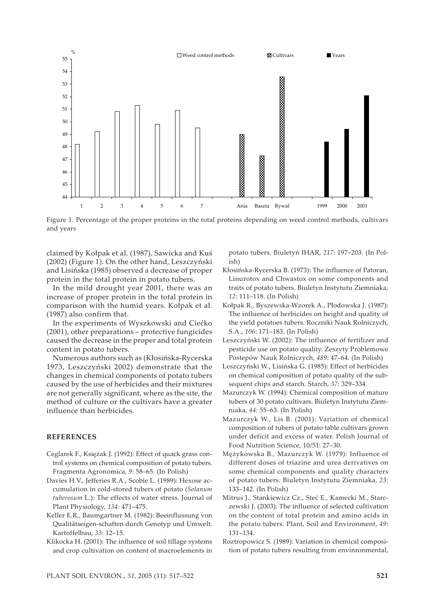

Figure 1. Percentage of the proper proteins in the total proteins depending on weed control methods, cultivars and years

claimed by Kołpak et al. (1987), Sawicka and Kuś (2002) (Figure 1). On the other hand, Leszczyński and Lisińska (1985) observed a decrease of proper protein in the total protein in potato tubers.

In the mild drought year 2001, there was an increase of proper protein in the total protein in comparison with the humid years. Kołpak et al. (1987) also confirm that.

In the experiments of Wyszkowski and Ciećko (2001), other preparations – protective fungicides caused the decrease in the proper and total protein content in potato tubers.

Numerous authors such as (Kłosińska-Rycerska 1973, Leszczyński 2002) demonstrate that the changes in chemical components of potato tubers caused by the use of herbicides and their mixtures are not generally significant, where as the site, the method of culture or the cultivars have a greater influence than herbicides.

## **REFERENCES**

- Ceglarek F., Księżak J. (1992): Effect of quack grass control systems on chemical composition of potato tubers. Fragmenta Agronomica, *9*: 58–65. (In Polish)
- Davies H.V., Jefferies R.A., Scobie L. (1989): Hexose accumulation in cold-stored tubers of potato (*Solanum tuberosum* L.): The effects of water stress. Journal of Plant Physiology, *134*: 471–475.
- Keller E.R., Baumgartner M. (1982): Beeinflussung von Qualitätseigen-schaften durch Genotyp und Umwelt. Kartoffelbau, *33*: 12–15.
- Klikocka H. (2001): The influence of soil tillage systems and crop cultivation on content of macroelements in

potato tubers. Biuletyn IHAR, *217*: 197–203. (In Polish)

- Kłosińska-Rycerska B. (1973): The influence of Patoran, Linurotox and Chwastox on some components and traits of potato tubers. Biuletyn Instytutu Ziemniaka, *12*: 111–118. (In Polish)
- Kołpak R., Byszewska-Wzorek A., Płodowska J. (1987): The influence of herbicides on height and quality of the yield potatoes tubers. Roczniki Nauk Rolniczych, S.A., *106*: 171–183. (In Polish)
- Leszczyński W. (2002): The influence of fertilizer and pesticide use on potato quality. Zeszyty Problemowe Postepów Nauk Rolniczych, *489*: 47–64. (In Polish)
- Leszczyński W., Lisińska G. (1985): Effect of herbicides on chemical composition of potato quality of the subsequent chips and starch. Starch, *37*: 329–334.
- Mazurczyk W. (1994): Chemical composition of mature tubers of 30 potato cultivars. Biuletyn Instytutu Ziemniaka, *44*: 55–63. (In Polish)
- Mazurczyk W., Lis B. (2001): Variation of chemical composition of tubers of potato table cultivars grown under deficit and excess of water. Polish Journal of Food Nutrition Science, 10/51: 27–30.
- Mężykowska B., Mazurczyk W. (1979): Influence of different doses of triazine and urea derivatives on some chemical components and quality characters of potato tubers. Biuletyn Instytutu Ziemniaka, *23*: 133–142. (In Polish)
- Mitrus J., Stankiewicz Cz., Steć E., Kamecki M., Starczewski J. (2003): The influence of selected cultivation on the content of total protein and amino acids in the potato tubers. Plant, Soil and Environment, *49*: 131–134.
- Roztropowicz S. (1989): Variation in chemical composition of potato tubers resulting from envinronmental,